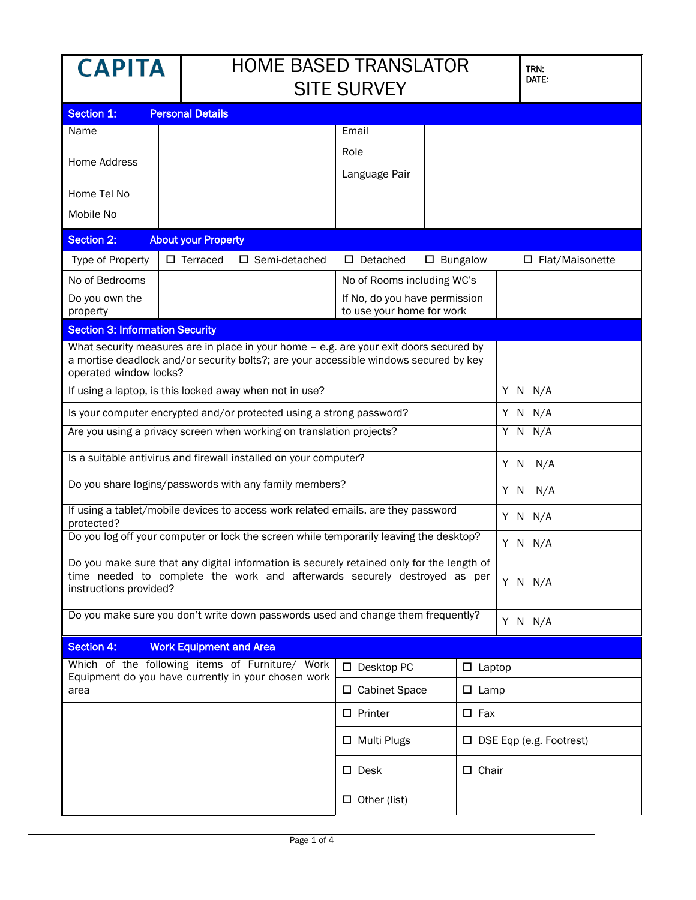| APITA |
|-------|
|-------|

## HOME BASED TRANSLATOR  $\overline{\mathbf{S}}$

| SILE SURVEY                                                                                                                                                                                               |                                |                                                     |                               |                            |                |                                |
|-----------------------------------------------------------------------------------------------------------------------------------------------------------------------------------------------------------|--------------------------------|-----------------------------------------------------|-------------------------------|----------------------------|----------------|--------------------------------|
| Section 1:<br><b>Personal Details</b>                                                                                                                                                                     |                                |                                                     |                               |                            |                |                                |
| Name                                                                                                                                                                                                      |                                |                                                     | Email                         |                            |                |                                |
|                                                                                                                                                                                                           |                                |                                                     | Role                          |                            |                |                                |
| <b>Home Address</b>                                                                                                                                                                                       |                                |                                                     | Language Pair                 |                            |                |                                |
| Home Tel No                                                                                                                                                                                               |                                |                                                     |                               |                            |                |                                |
| <b>Mobile No</b>                                                                                                                                                                                          |                                |                                                     |                               |                            |                |                                |
| <b>Section 2:</b><br><b>About your Property</b>                                                                                                                                                           |                                |                                                     |                               |                            |                |                                |
| Type of Property                                                                                                                                                                                          | $\square$ Terraced             | $\square$ Semi-detached                             | $\square$ Detached            | $\square$ Bungalow         |                | $\Box$ Flat/Maisonette         |
| No of Bedrooms                                                                                                                                                                                            |                                |                                                     |                               | No of Rooms including WC's |                |                                |
| Do you own the                                                                                                                                                                                            |                                |                                                     | If No, do you have permission |                            |                |                                |
| property                                                                                                                                                                                                  |                                |                                                     | to use your home for work     |                            |                |                                |
| <b>Section 3: Information Security</b>                                                                                                                                                                    |                                |                                                     |                               |                            |                |                                |
| What security measures are in place in your home - e.g. are your exit doors secured by<br>a mortise deadlock and/or security bolts?; are your accessible windows secured by key<br>operated window locks? |                                |                                                     |                               |                            |                |                                |
| If using a laptop, is this locked away when not in use?                                                                                                                                                   |                                |                                                     |                               |                            | $Y$ N $N/A$    |                                |
| Is your computer encrypted and/or protected using a strong password?                                                                                                                                      |                                |                                                     |                               |                            | $Y$ N $N/A$    |                                |
| Are you using a privacy screen when working on translation projects?                                                                                                                                      |                                |                                                     |                               | $Y$ N N/A                  |                |                                |
| Is a suitable antivirus and firewall installed on your computer?                                                                                                                                          |                                |                                                     |                               |                            | Y N N/A        |                                |
| Do you share logins/passwords with any family members?                                                                                                                                                    |                                |                                                     |                               |                            | Y N N/A        |                                |
| If using a tablet/mobile devices to access work related emails, are they password<br>protected?                                                                                                           |                                |                                                     |                               |                            | Y N N/A        |                                |
| Do you log off your computer or lock the screen while temporarily leaving the desktop?                                                                                                                    |                                |                                                     |                               |                            | Y N N/A        |                                |
| Do you make sure that any digital information is securely retained only for the length of<br>time needed to complete the work and afterwards securely destroyed as per<br>instructions provided?          |                                |                                                     |                               |                            | Y N N/A        |                                |
| Do you make sure you don't write down passwords used and change them frequently?                                                                                                                          |                                |                                                     |                               | Y N N/A                    |                |                                |
| <b>Section 4:</b>                                                                                                                                                                                         | <b>Work Equipment and Area</b> |                                                     |                               |                            |                |                                |
|                                                                                                                                                                                                           |                                | Which of the following items of Furniture/ Work     | $\square$ Desktop PC          |                            | $\Box$ Laptop  |                                |
| area                                                                                                                                                                                                      |                                | Equipment do you have currently in your chosen work | □ Cabinet Space               |                            | $\square$ Lamp |                                |
|                                                                                                                                                                                                           |                                |                                                     | $\square$ Printer             |                            | $\square$ Fax  |                                |
|                                                                                                                                                                                                           |                                |                                                     | □ Multi Plugs                 |                            |                | $\Box$ DSE Eqp (e.g. Footrest) |
| $\square$ Desk                                                                                                                                                                                            |                                |                                                     | $\Box$ Chair                  |                            |                |                                |
|                                                                                                                                                                                                           |                                |                                                     | $\Box$ Other (list)           |                            |                |                                |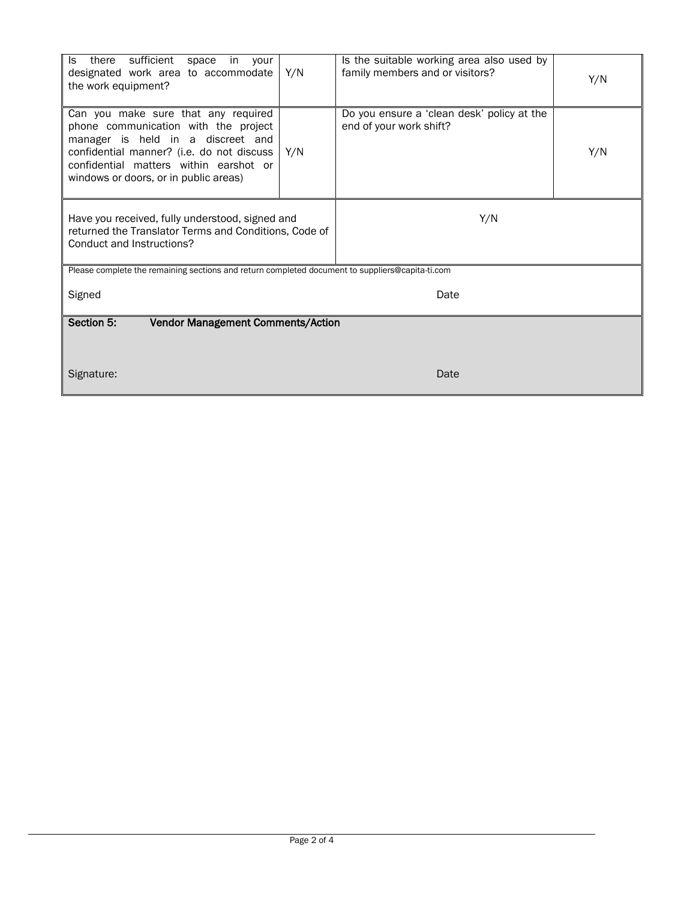| sufficient<br>there<br>ls.<br>space<br>in.<br>your<br>designated work area to accommodate<br>the work equipment?                                                                                                                                 | Y/N | Is the suitable working area also used by<br>family members and or visitors? | Y/N |  |
|--------------------------------------------------------------------------------------------------------------------------------------------------------------------------------------------------------------------------------------------------|-----|------------------------------------------------------------------------------|-----|--|
| Can you make sure that any required<br>phone communication with the project<br>manager is held in a discreet and<br>confidential manner? (i.e. do not discuss<br>confidential matters within earshot or<br>windows or doors, or in public areas) | Y/N | Do you ensure a 'clean desk' policy at the<br>end of your work shift?        | Y/N |  |
| Have you received, fully understood, signed and<br>returned the Translator Terms and Conditions, Code of<br>Conduct and Instructions?                                                                                                            |     | Y/N                                                                          |     |  |
| Please complete the remaining sections and return completed document to suppliers@capita-ti.com                                                                                                                                                  |     |                                                                              |     |  |
| Signed<br>Date                                                                                                                                                                                                                                   |     |                                                                              |     |  |
| Section 5:<br><b>Vendor Management Comments/Action</b>                                                                                                                                                                                           |     |                                                                              |     |  |
|                                                                                                                                                                                                                                                  |     |                                                                              |     |  |
| Signature:                                                                                                                                                                                                                                       |     | Date                                                                         |     |  |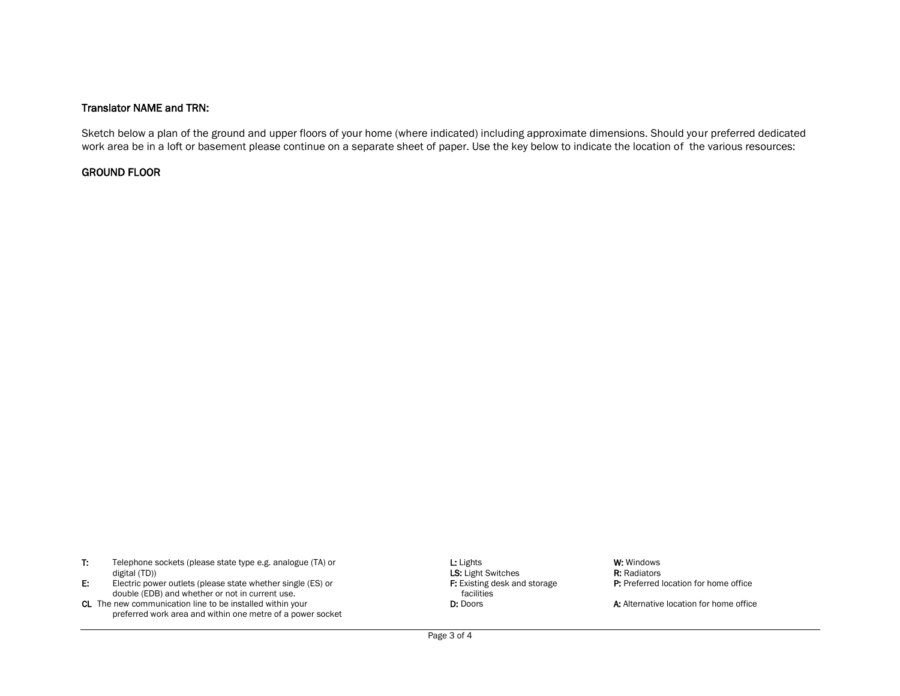## Translator NAME and TRN:

Sketch below a plan of the ground and upper floors of your home (where indicated) including approximate dimensions. Should your preferred dedicated work area be in a loft or basement please continue on a separate sheet of paper. Use the key below to indicate the location of the various resources:

## GROUND FLOOR

| Telephone sockets (please state type e.g. analogue (TA) or | $L:$ Lights               | W: Windows          |
|------------------------------------------------------------|---------------------------|---------------------|
| digital (TD))                                              | <b>LS:</b> Light Switches | <b>R:</b> Radiators |

- E: Electric power outlets (please state whether single (ES) or F: Existing desk and storage P: Preferred location for home office double (EDB) and whether or not in current use. facilities
- CL The new communication line to be installed within your **D: Defice A:** Alternative location for home office of the office preferred work area and within one metre of a power socket

**LS:** Light Switches **R: Radiators**<br> **F:** Existing desk and storage **R:** Preferred location for home office